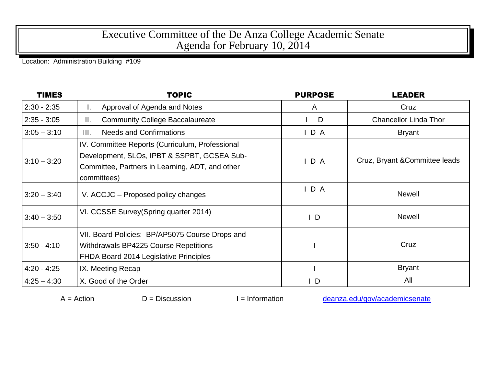## Executive Committee of the De Anza College Academic Senate Agenda for February 10, 2014

Location: Administration Building #109

| <b>TIMES</b>  | <b>TOPIC</b>                                                                                                                                                     | <b>PURPOSE</b> | <b>LEADER</b>                  |
|---------------|------------------------------------------------------------------------------------------------------------------------------------------------------------------|----------------|--------------------------------|
| $2:30 - 2:35$ | Approval of Agenda and Notes<br>ı.                                                                                                                               | A              | Cruz                           |
| $2:35 - 3:05$ | <b>Community College Baccalaureate</b><br>Ⅱ.                                                                                                                     | D              | <b>Chancellor Linda Thor</b>   |
| $3:05 - 3:10$ | <b>Needs and Confirmations</b><br>III.                                                                                                                           | IDA            | <b>Bryant</b>                  |
| $3:10 - 3:20$ | IV. Committee Reports (Curriculum, Professional<br>Development, SLOs, IPBT & SSPBT, GCSEA Sub-<br>Committee, Partners in Learning, ADT, and other<br>committees) | IDA            | Cruz, Bryant & Committee leads |
| $3:20 - 3:40$ | V. ACCJC – Proposed policy changes                                                                                                                               | IDA            | <b>Newell</b>                  |
| $3:40 - 3:50$ | VI. CCSSE Survey (Spring quarter 2014)                                                                                                                           | $\mathsf{I}$ D | <b>Newell</b>                  |
| $3:50 - 4:10$ | VII. Board Policies: BP/AP5075 Course Drops and<br><b>Withdrawals BP4225 Course Repetitions</b><br>FHDA Board 2014 Legislative Principles                        |                | Cruz                           |
| $4:20 - 4:25$ | IX. Meeting Recap                                                                                                                                                |                | <b>Bryant</b>                  |
| $4:25 - 4:30$ | X. Good of the Order                                                                                                                                             | $\mathsf{I}$   | All                            |

 $A =$ Action  $D =$  Discussion I = Information [deanza.edu/gov/academicsenate](http://www.deanza.edu/gov/academicsenate)